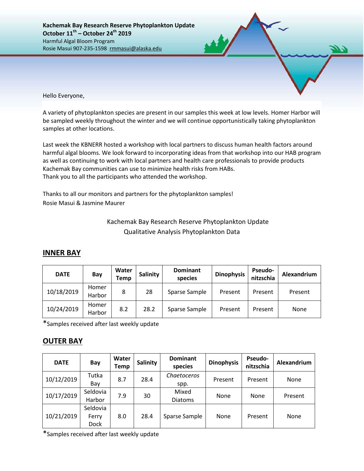Hello Everyone,

A variety of phytoplankton species are present in our samples this week at low levels. Homer Harbor will be sampled weekly throughout the winter and we will continue opportunistically taking phytoplankton samples at other locations.

Last week the KBNERR hosted a workshop with local partners to discuss human health factors around harmful algal blooms. We look forward to incorporating ideas from that workshop into our HAB program as well as continuing to work with local partners and health care professionals to provide products Kachemak Bay communities can use to minimize health risks from HABs. Thank you to all the participants who attended the workshop.

Thanks to all our monitors and partners for the phytoplankton samples! Rosie Masui & Jasmine Maurer

## Kachemak Bay Research Reserve Phytoplankton Update Qualitative Analysis Phytoplankton Data

## **INNER BAY**

| <b>DATE</b> | Bay             | Water<br>Temp | Salinity | <b>Dominant</b><br>species | <b>Dinophysis</b> | <b>Pseudo-</b><br>nitzschia | Alexandrium |
|-------------|-----------------|---------------|----------|----------------------------|-------------------|-----------------------------|-------------|
| 10/18/2019  | Homer<br>Harbor | 8             | 28       | Sparse Sample              | Present           | Present                     | Present     |
| 10/24/2019  | Homer<br>Harbor | 8.2           | 28.2     | Sparse Sample              | Present           | Present                     | None        |

\*Samples received after last weekly update

## **OUTER BAY**

| <b>DATE</b> | Bay                              | Water<br>Temp | Salinity | <b>Dominant</b><br>species | <b>Dinophysis</b> | <b>Pseudo-</b><br>nitzschia | Alexandrium |
|-------------|----------------------------------|---------------|----------|----------------------------|-------------------|-----------------------------|-------------|
| 10/12/2019  | Tutka<br>Bay                     | 8.7           | 28.4     | Chaetoceros<br>spp.        | Present           | Present                     | None        |
| 10/17/2019  | Seldovia<br>Harbor               | 7.9           | 30       | Mixed<br>Diatoms           | None              | None                        | Present     |
| 10/21/2019  | Seldovia<br>Ferry<br><b>Dock</b> | 8.0           | 28.4     | Sparse Sample              | None              | Present                     | None        |

\*Samples received after last weekly update